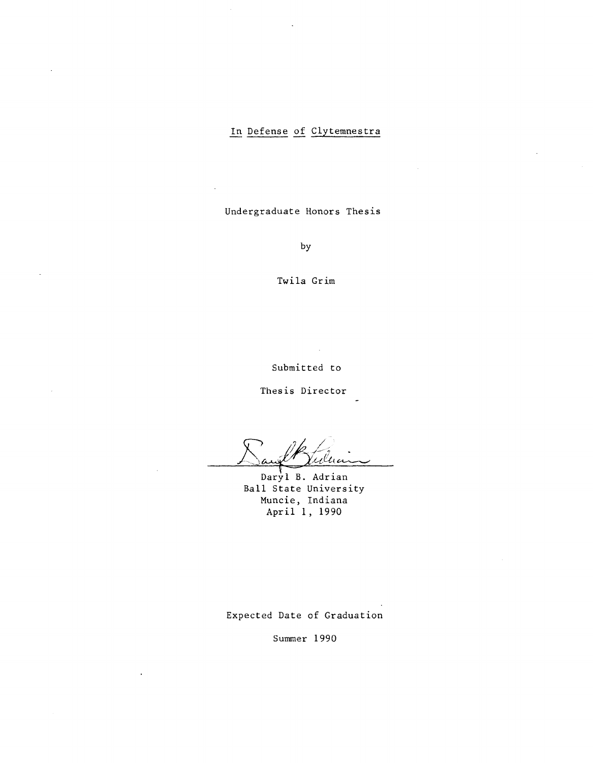## In Defense of Clytemnestra

Undergraduate Honors Thesis

by

Twila Grim

Submitted to

Thesis Director

Daryl B. Adrian Ball State University Muncie, Indiana April 1, 1990

Expected Date of Graduation

Summer 1990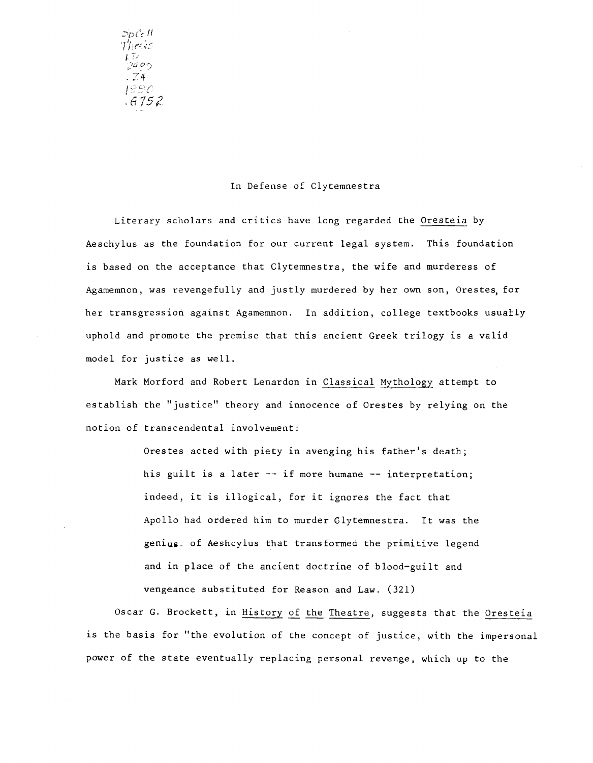*SpCc11* Thesis J T<br>172<br>24.09 1990  $6752$ 

## In Defense of Clytemnestra

Literary scholars and critics have long regarded the Oresteia by Aeschylus as the foundation for our current legal system. This foundation is based on the acceptance that Clytemnestra, the wife and murderess of Agamemnon, was revengefully and justly murdered by her own son, Orestes, for her transgression against Agamemnon. In addition, college textbooks usuatly uphold and promote the premise that this ancient Greek trilogy is a valid model for justice as well.

Mark Morford and Robert Lenardon in Classical Mythology attempt to establish the "justice" theory and innocence of Orestes by relying on the notion of transcendental involvement:

> Orestes acted with piety in avenging his father's death; his guilt is a later  $-$  if more humane  $-$  interpretation; indeed, it is illogical, for it ignores the fact that Apollo had ordered him to murder Clytemnestra. It was the genius, of Aeshcylus that transformed the primitive legend and in place of the ancient doctrine of blood-guilt and vengeance substituted for Reason and Law. (321)

Oscar G. Brockett, in History of the Theatre, suggests that the Oresteia is the basis for "the evolution of the concept of justice, with the impersonal power of the state eventually replacing personal revenge, which up to the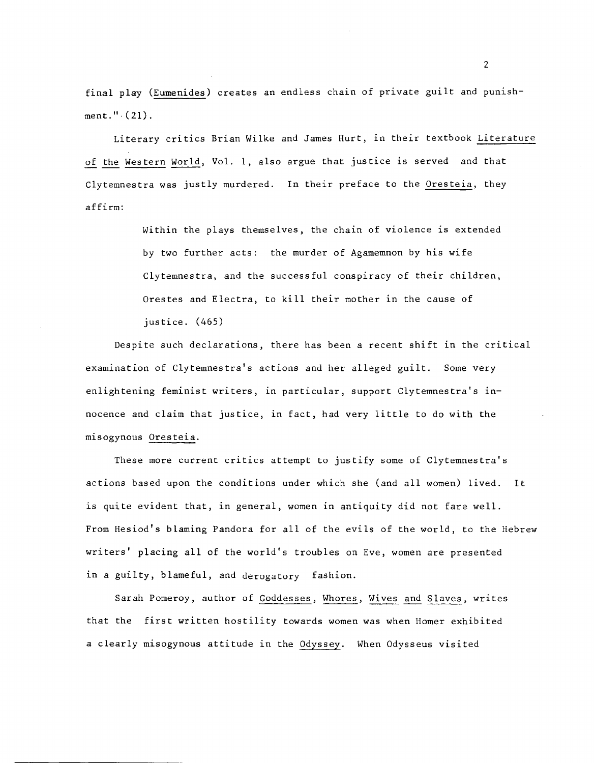final play (Eumenides) creates an endless chain of private guilt and punishment." $(21)$ .

Literary critics Brian Wilke and James Hurt, in their textbook Literature of the Western World, Vol. 1, also argue that justice is served and that Clytemnestra was justly murdered. In their preface to the Oresteia, they affirm:

> Within the plays themselves, the chain of violence is extended by two further acts: the murder of Agamemnon by his wife Clytemnestra, and the successful conspiracy of their children, Orestes and Electra, to kill their mother in the cause of justice. (465)

Despite such declarations, there has been a recent shift in the critical examination of Clytemnestra's actions and her alleged guilt. Some very enlightening feminist writers, in particular, support Clytemnestra's innocence and claim that justice, in fact, had very little to do with the misogynous Oresteia.

These more current critics attempt to justify some of Clytemnestra's actions based upon the conditions under which she (and all women) lived. It is quite evident that, in general, women in antiquity did not fare well. From Hesiod's blaming Pandora for all of the evils of the world, to the Hebrew writers' placing all of the world's troubles on Eve, women are presented in a guilty, blameful, and derogatory fashion.

Sarah Pomeroy, author of Goddesses, Whores, Wives and Slaves, writes that the first written hostility towards women was when Homer exhibited a clearly misogynous attitude in the Odyssey. When Odysseus visited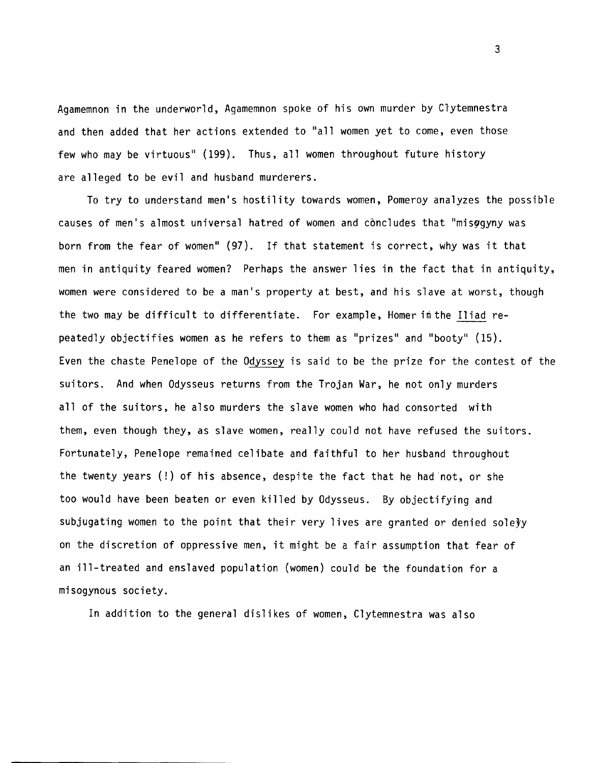Agamemnon in the underworld, Agamemnon spoke of his own murder by Clytemnestra and then added that her actions extended to "all women yet to come, even those few who may be virtuous" (199). Thus, all women throughout future history are alleged to be evil and husband murderers.

To try to understand men's hostility towards women, Pomeroy analyzes the possible causes of men's almost universal hatred of women and concludes that "misggyny was born from the fear of women" (97). If that statement is correct, why was it that men in antiquity feared women? Perhaps the answer lies in the fact that in antiquity, women were considered to be a man's property at best, and his slave at worst, though the two may be difficult to differentiate. For example, Homer im the Iliad repeatedly objectifies women as he refers to them as "prizes" and "booty" (15). Even the chaste Penelope of the Odyssey is said to be the prize for the contest of the suitors. And when Odysseus returns from the Trojan War, he not only murders all of the suitors, he also murders the slave women who had consorted with them, even though they, as slave women, really could not have refused the suitors. Fortunately, Penelope remained celibate and faithful to her husband throughout the twenty years (!) of his absence, despite the fact that he had not, or she too would have been beaten or even killed by Odysseus. By objectifying and subjugating women to the point that their very lives are granted or denied sole $\gamma$ on the discretion of oppressive men, it might be a fair assumption that fear of an ill-treated and enslaved population (women) could be the foundation for a misogynous society.

In addition to the general dislikes of women, Clytemnestra was also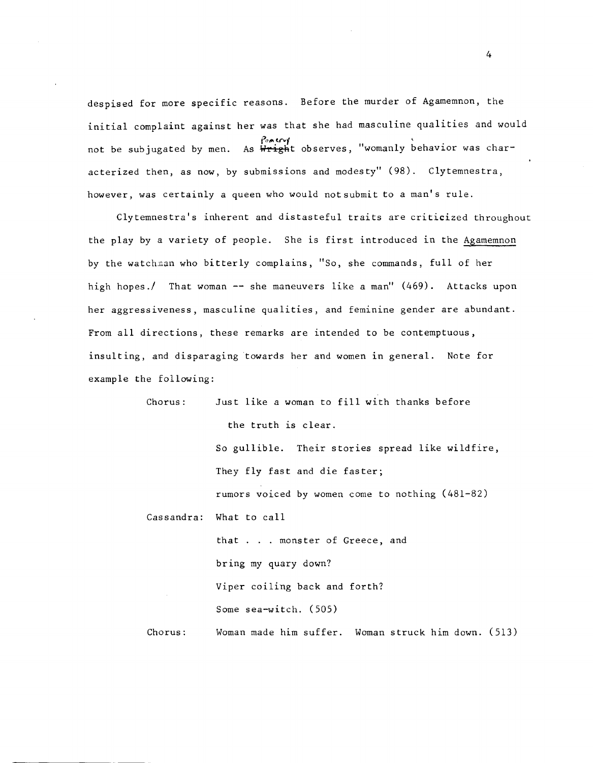despised for more specific reasons. Before the murder of Agamemnon, the initial complaint against her was that she had masculine qualities and would pontry<br>-not be subjugated by men. As <del>Wrigh</del>t observes, "womanly behavior was char acterized then, as now, by submissions and modesty" (98). Clytemnestra, however, was certainly a queen who would not submit to a man's rule.

Clytemnestra's inherent and distasteful traits are criticized throughout the play by a variety of people. She is first introduced in the Agamemnon by the watchman who bitterly complains, "So, she commands, full of her high hopes./ That woman  $-$  she maneuvers like a man" (469). Attacks upon her aggressiveness, masculine qualities, and feminine gender are abundant. From all directions, these remarks are intended to be contemptuous, insulting, and disparaging towards her and women in general. Note for example the following:

| Chorus: | Just like a woman to fill with thanks before        |
|---------|-----------------------------------------------------|
|         | the truth is clear.                                 |
|         | So gullible. Their stories spread like wildfire,    |
|         | They fly fast and die faster;                       |
|         | rumors voiced by women come to nothing (481-82)     |
|         | Cassandra: What to call                             |
|         | that monster of Greece, and                         |
|         | bring my quary down?                                |
|         | Viper coiling back and forth?                       |
|         | Some $sea-witch.$ (505)                             |
| Chorus: | Woman made him suffer. Woman struck him down. (513) |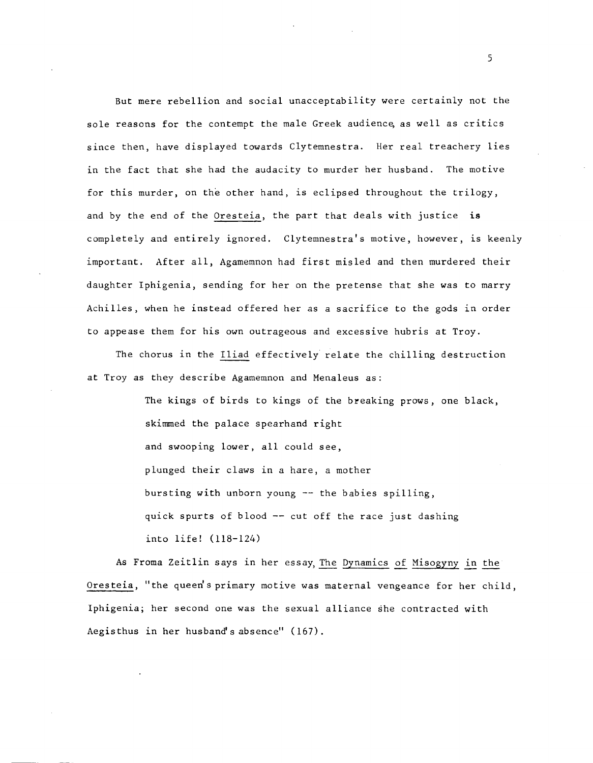But mere rebellion and social unacceptability were certainly not the sole reasons for the contempt the male Greek audience, as well as critics since then, have displayed towards Clytemnestra. Her real treachery lies in the fact that she had the audacity to murder her husband. The motive for this murder, on the other hand, is eclipsed throughout the trilogy, and by the end of the Oresteia, the part that deals with justice **is**  completely and entirely ignored. Clytemnestra's motive, however, is keenly important. After all, Agamemnon had first misled and then murdered their daughter Iphigenia, sending for her on the pretense that she was to marry Achilles, when he instead offered her as a sacrifice to the gods in order to appease them for his own outrageous and excessive hubris at Troy.

The chorus in the Iliad effectively relate the chilling destruction at Troy as they describe Agamemnon and Menaleus as:

> The kings of birds to kings of the breaking prows, one black, skimmed the palace spearhand right and swooping lower, all could see, plunged their claws in a hare, a mother bursting with unborn young -- the babies spilling, quick spurts of blood **--** cut off the race just dashing into life! (118-124)

As Froma Zeitlin says in her essay The Dynamics of Misogyny in the Oresteia, "the queen's primary motive was maternal vengeance for her child, Iphigenia; her second one was the sexual alliance she contracted with Aegisthus in her husband's absence" (167).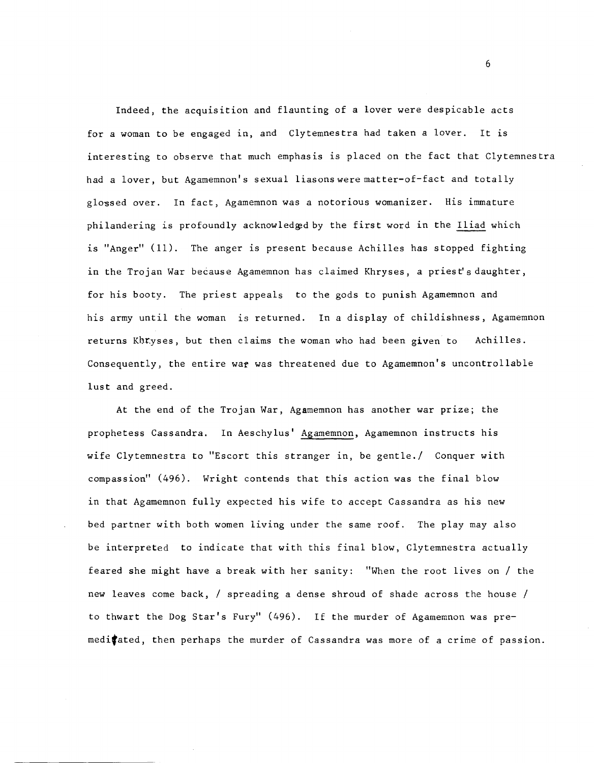Indeed, the acquisition and flaunting of a lover were despicable acts for a woman to be engaged in, and Clytemnestra had taken a lover. It is interesting to observe that much emphasis is placed on the fact that Clytemnestra had a lover, but Agamemnon's sexual liasons were matter-of-fact and totally glossed over. In fact, Agamemnon was a notorious womanizer. His immature philandering is profoundly acknowledged by the first word in the Iliad which is "Anger" (11). The anger is present because Achilles has stopped fighting in the Trojan War because Agamemnon has claimed Khryses, a priest's daughter, for his booty. The priest appeals to the gods to punish Agamemnon and his army until the woman is returned. In a display of childishness, Agamemnon returns Khryses, but then claims the woman who had been given to Achilles. Consequently, the entire war was threatened due to Agamemnon's uncontrollable lust and greed.

At the end of the Trojan War, Agamemnon has another war prize; the prophetess Cassandra. In Aeschylus' Agamemnon, Agamemnon instructs his wife Clytemnestra to "Escort this stranger in, be gentle./ Conquer with compassion" (496). Wright contends that this action was the final blow in that Agamemnon fully expected his wife to accept Cassandra as his new bed partner with both women living under the same roof. The play may also be interpreted to indicate that with this final blow, Clytemnestra actually feared she might have a break with her sanity: "When the root lives on / the new leaves come back, / spreading a dense shroud of shade across the house / to thwart the Dog Star's Fury" (496). If the murder of Agamemnon was premedifated, then perhaps the murder of Cassandra was more of a crime of passion.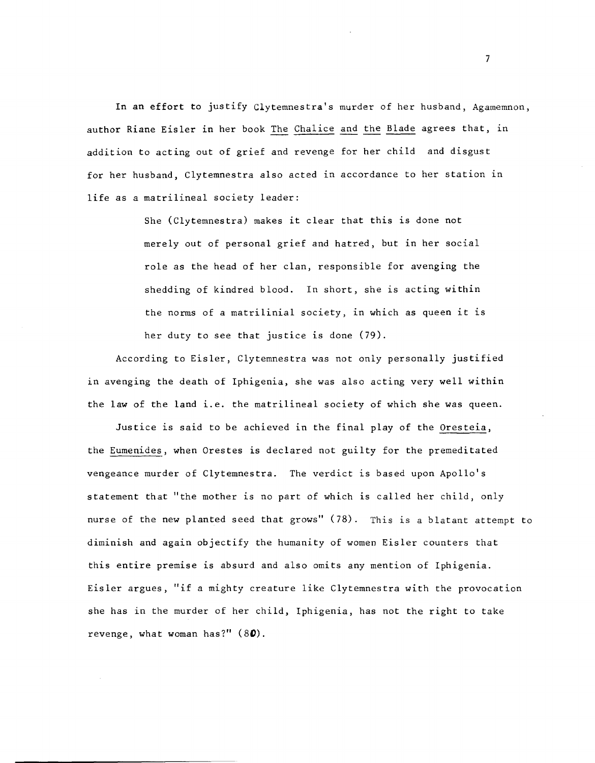In an effort to justify Clytemnestra's murder of her husband, Agamemnon, author Riane Eisler in her book The Chalice and the Blade agrees that, in addition to acting out of grief and revenge for her child and disgust for her husband, Clytemnestra also acted in accordance to her station in life as a matrilineal society leader:

> She (Clytemnestra) makes it clear that this is done not merely out of personal grief and hatred, but in her social role as the head of her clan, responsible for avenging the shedding of kindred blood. In short, she is acting within the norms of a matrilinial society, in which as queen it is her duty to see that justice is done (79).

According to Eisler, Clytemnestra was not only personally justified in avenging the death of Iphigenia, she was also acting very well within the law of the land i.e. the matrilineal society of which she was queen.

Justice is said to be achieved in the final play of the Oresteia, the Eumenides, when Orestes is declared not guilty for the premeditated vengeance murder of Clytemnestra. The verdict is based upon Apollo's statement that "the mother is no part of which is called her child, only nurse of the new planted seed that grows" (78). This is a blatant attempt to diminish and again objectify the humanity of women Eisler counters that this entire premise is absurd and also omits any mention of Iphigenia. Eisler argues, "if a mighty creature like Clytemnestra with the provocation she has in the murder of her child, Iphigenia, has not the right to take revenge, what woman has?" (8D).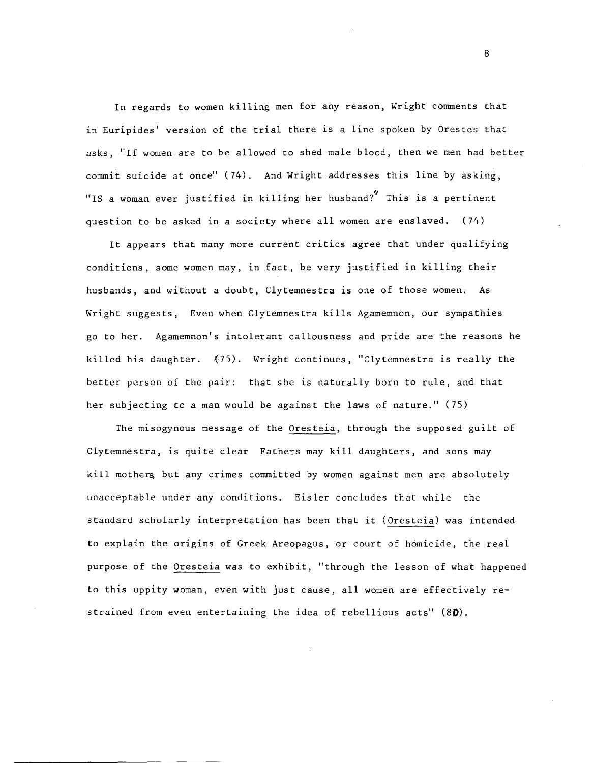In regards to women killing men for any reason, Wright comments that in Euripides' version of the trial there is a line spoken by Orestes that asks, "If women are to be allowed to shed male blood, then we men had better commit suicide at once" (74). And Wright addresses this line by asking, "IS a woman ever justified in killing her husband?~ This is a pertinent question to be asked in a society where all women are enslaved. (74)

It appears that many more current critics agree that under qualifying conditions, some women may, in fact, be very justified in killing their husbands, and without a doubt, Clytemnestra is one of those women. As Wright suggests, Even when Clytemnestra kills Agamemnon, our sympathies go to her. Agamemnon's intolerant callousness and pride are the reasons he killed his daughter. (75). Wright continues, "Clytemnestra is really the better person of the pair: that she is naturally born to rule, and that her subjecting to a man would be against the laws of nature." (75)

The misogynous message of the Oresteia, through the supposed guilt of Clytemnestra, is quite clear Fathers may kill daughters, and sons may kill mothers but any crimes committed by women against men are absolutely unacceptable under any conditions. Eisler concludes that while the standard scholarly interpretation has been that it (Oresteia) was intended to explain the origins of Greek Areopagus, or court of homicide, the real purpose of the Oresteia was to exhibit, "through the lesson of what happened to this uppity woman, even with just cause, all women are effectively restrained from even entertaining the idea of rebellious acts" *(80).*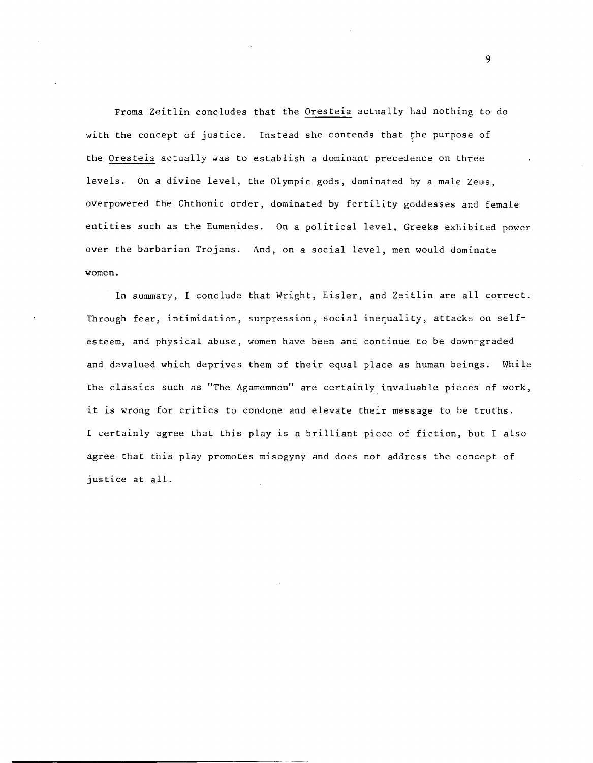Froma Zeitlin concludes that the Oresteia actually had nothing to do with the concept of justice. Instead she contends that the purpose of the Oresteia actually was to establish a dominant precedence on three levels. On a divine level, the Olympic gods, dominated by a male Zeus, overpowered the Chthonic order, dominated by fertility goddesses and female entities such as the Eumenides. On a political level, Greeks exhibited power over the barbarian Trojans. And, on a social level, men would dominate women.

In summary, I conclude that Wright, Eisler, and Zeitlin are all correct. Through fear, intimidation, surpression, social inequality, attacks on selfesteem, and physical abuse, women have been and continue to be down-graded and devalued which deprives them of their equal place as human beings. While the classics such as "The Agamemnon" are certainly invaluable pieces of work, it is wrong for critics to condone and elevate their message to be truths. I certainly agree that this play is a brilliant piece of fiction, but I also agree that this play promotes misogyny and does not address the concept of justice at all.